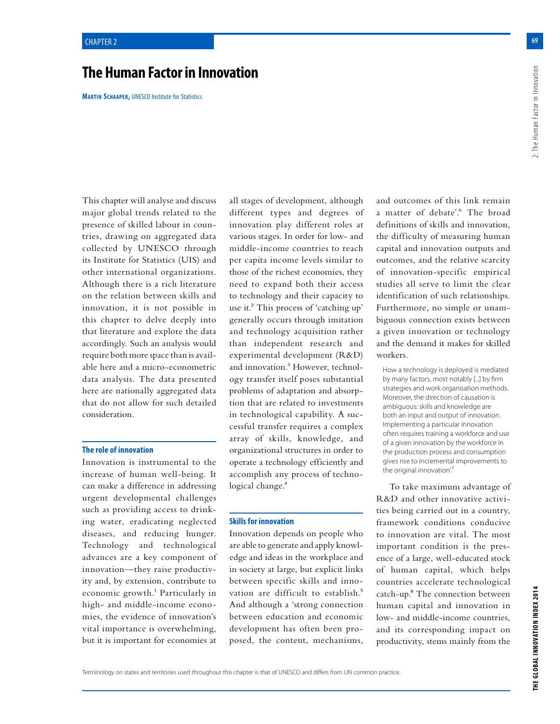# **The Human Factor in Innovation**

**Martin Schaaper,** UNESCO Institute for Statistics

This chapter will analyse and discuss major global trends related to the presence of skilled labour in countries, drawing on aggregated data collected by UNESCO through its Institute for Statistics (UIS) and other international organizations. Although there is a rich literature on the relation between skills and innovation, it is not possible in this chapter to delve deeply into that literature and explore the data accordingly. Such an analysis would require both more space than is available here and a micro-econometric data analysis. The data presented here are nationally aggregated data that do not allow for such detailed consideration.

### **The role of innovation**

Innovation is instrumental to the increase of human well-being. It can make a difference in addressing urgent developmental challenges such as providing access to drinking water, eradicating neglected diseases, and reducing hunger. Technology and technological advances are a key component of innovation—they raise productivity and, by extension, contribute to economic growth.<sup>1</sup> Particularly in high- and middle-income economies, the evidence of innovation's vital importance is overwhelming, but it is important for economies at

all stages of development, although different types and degrees of innovation play different roles at various stages. In order for low- and middle-income countries to reach per capita income levels similar to those of the richest economies, they need to expand both their access to technology and their capacity to use it.2 This process of 'catching up' generally occurs through imitation and technology acquisition rather than independent research and experimental development (R&D) and innovation.3 However, technology transfer itself poses substantial problems of adaptation and absorption that are related to investments in technological capability. A successful transfer requires a complex array of skills, knowledge, and organizational structures in order to operate a technology efficiently and accomplish any process of technological change.<sup>4</sup>

#### **Skills for innovation**

Innovation depends on people who are able to generate and apply knowledge and ideas in the workplace and in society at large, but explicit links between specific skills and innovation are difficult to establish.<sup>5</sup> And although a 'strong connection between education and economic development has often been proposed, the content, mechanisms, and outcomes of this link remain a matter of debate'.<sup>6</sup> The broad definitions of skills and innovation, the difficulty of measuring human capital and innovation outputs and outcomes, and the relative scarcity of innovation-specific empirical studies all serve to limit the clear identification of such relationships. Furthermore, no simple or unambiguous connection exists between a given innovation or technology and the demand it makes for skilled workers.

How a technology is deployed is mediated by many factors, most notably [...] by firm strategies and work organisation methods. Moreover, the direction of causation is ambiguous: skills and knowledge are both an input and output of innovation. Implementing a particular innovation often requires training a workforce and use of a given innovation by the workforce in the production process and consumption gives rise to incremental improvements to the original innovation'.

To take maximum advantage of R&D and other innovative activities being carried out in a country, framework conditions conducive to innovation are vital. The most important condition is the presence of a large, well-educated stock of human capital, which helps countries accelerate technological catch-up.8 The connection between human capital and innovation in low- and middle-income countries, and its corresponding impact on productivity, stems mainly from the

**69**2: The Human Factor in Innovation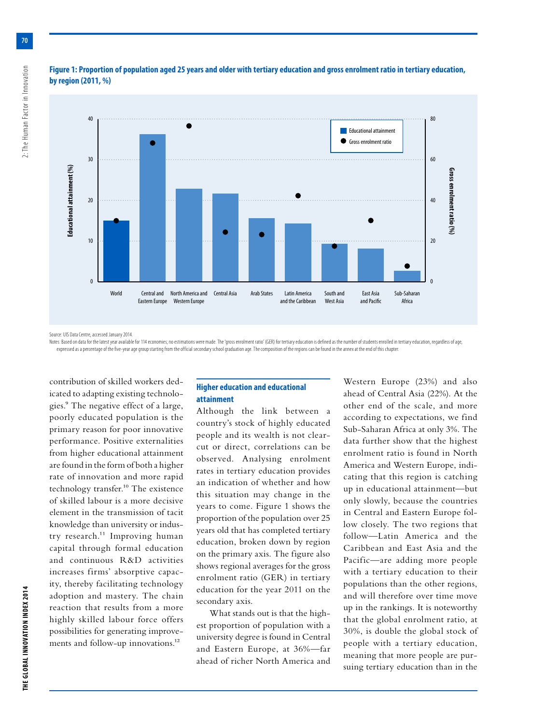

## **Figure 1: Proportion of population aged 25 years and older with tertiary education and gross enrolment ratio in tertiary education, by region (2011, %)**

Source: UIS Data Centre, accessed January 2014.

Notes: Based on data for the latest year available for 114 economies; no estimations were made. The 'gross enrolment ratio' (GER) for tertiary education is defined as the number of students enrolled in tertiary education, expressed as a percentage of the five-year age group starting from the official secondary school graduation age. The composition of the regions can be found in the annex at the end of this chapter.

contribution of skilled workers dedicated to adapting existing technologies.9 The negative effect of a large, poorly educated population is the primary reason for poor innovative performance. Positive externalities from higher educational attainment are found in the form of both a higher rate of innovation and more rapid technology transfer.10 The existence of skilled labour is a more decisive element in the transmission of tacit knowledge than university or industry research.<sup>11</sup> Improving human capital through formal education and continuous R&D activities increases firms' absorptive capacity, thereby facilitating technology adoption and mastery. The chain reaction that results from a more highly skilled labour force offers possibilities for generating improvements and follow-up innovations.<sup>12</sup>

## **Higher education and educational attainment**

Although the link between a country's stock of highly educated people and its wealth is not clearcut or direct, correlations can be observed. Analysing enrolment rates in tertiary education provides an indication of whether and how this situation may change in the years to come. Figure 1 shows the proportion of the population over 25 years old that has completed tertiary education, broken down by region on the primary axis. The figure also shows regional averages for the gross enrolment ratio (GER) in tertiary education for the year 2011 on the secondary axis.

What stands out is that the highest proportion of population with a university degree is found in Central and Eastern Europe, at 36%—far ahead of richer North America and

Western Europe (23%) and also ahead of Central Asia (22%). At the other end of the scale, and more according to expectations, we find Sub-Saharan Africa at only 3%. The data further show that the highest enrolment ratio is found in North America and Western Europe, indicating that this region is catching up in educational attainment—but only slowly, because the countries in Central and Eastern Europe follow closely. The two regions that follow—Latin America and the Caribbean and East Asia and the Pacific—are adding more people with a tertiary education to their populations than the other regions, and will therefore over time move up in the rankings. It is noteworthy that the global enrolment ratio, at 30%, is double the global stock of people with a tertiary education, meaning that more people are pursuing tertiary education than in the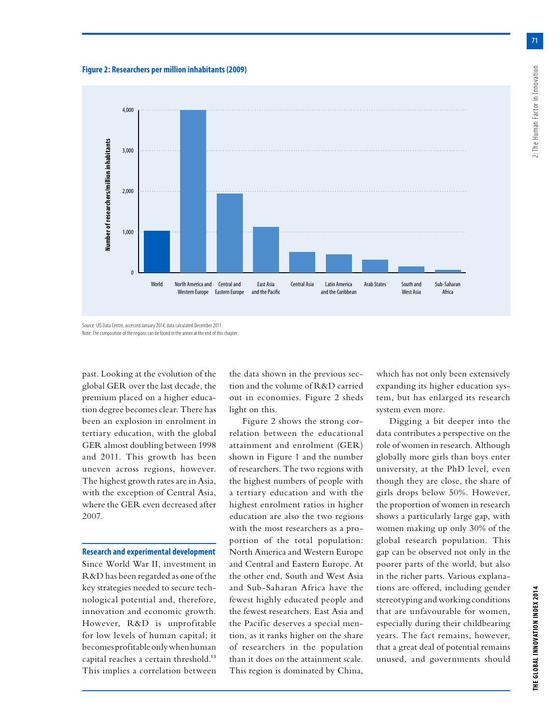**71**





Source: UIS Data Centre, accessed January 2014; data calculated December 2011. Note: The composition of the regions can be found in the annex at the end of this chapter.

past. Looking at the evolution of the global GER over the last decade, the premium placed on a higher education degree becomes clear. There has been an explosion in enrolment in tertiary education, with the global GER almost doubling between 1998 and 2011. This growth has been uneven across regions, however. The highest growth rates are in Asia, with the exception of Central Asia, where the GER even decreased after 2007.

#### **Research and experimental development**

Since World War II, investment in R&D has been regarded as one of the key strategies needed to secure technological potential and, therefore, innovation and economic growth. However, R&D is unprofitable for low levels of human capital; it becomes profitable only when human capital reaches a certain threshold.<sup>13</sup> This implies a correlation between the data shown in the previous section and the volume of R&D carried out in economies. Figure 2 sheds light on this.

Figure 2 shows the strong correlation between the educational attainment and enrolment (GER) shown in Figure 1 and the number of researchers. The two regions with the highest numbers of people with a tertiary education and with the highest enrolment ratios in higher education are also the two regions with the most researchers as a proportion of the total population: North America and Western Europe and Central and Eastern Europe. At the other end, South and West Asia and Sub-Saharan Africa have the fewest highly educated people and the fewest researchers. East Asia and the Pacific deserves a special mention, as it ranks higher on the share of researchers in the population than it does on the attainment scale. This region is dominated by China,

which has not only been extensively expanding its higher education system, but has enlarged its research system even more.

Digging a bit deeper into the data contributes a perspective on the role of women in research. Although globally more girls than boys enter university, at the PhD level, even though they are close, the share of girls drops below 50%. However, the proportion of women in research shows a particularly large gap, with women making up only 30% of the global research population. This gap can be observed not only in the poorer parts of the world, but also in the richer parts. Various explanations are offered, including gender stereotyping and working conditions that are unfavourable for women, especially during their childbearing years. The fact remains, however, that a great deal of potential remains unused, and governments should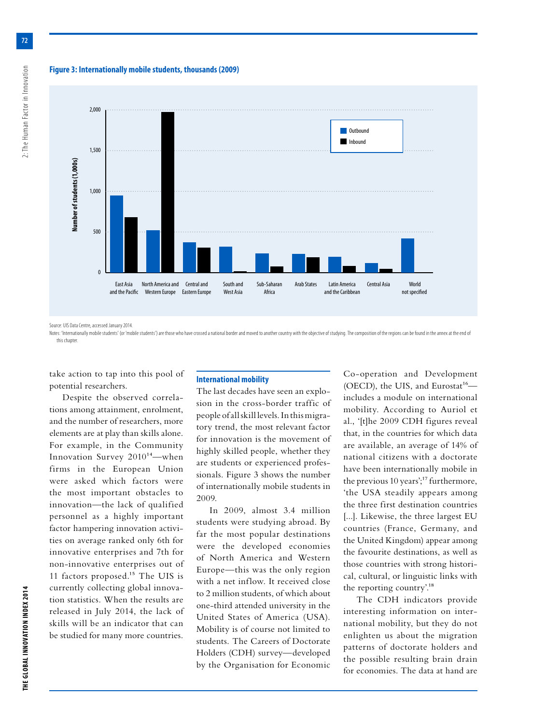**Figure 3: Internationally mobile students, thousands (2009)**



Source: UIS Data Centre, accessed January 2014.

Notes: 'Internationally mobile students' (or 'mobile students') are those who have crossed a national border and moved to another country with the objective of studying. The composition of the regions can be found in the a this chapter.

take action to tap into this pool of potential researchers.

Despite the observed correlations among attainment, enrolment, and the number of researchers, more elements are at play than skills alone. For example, in the Community Innovation Survey 2010<sup>14</sup>—when firms in the European Union were asked which factors were the most important obstacles to innovation—the lack of qualified personnel as a highly important factor hampering innovation activities on average ranked only 6th for innovative enterprises and 7th for non-innovative enterprises out of 11 factors proposed.<sup>15</sup> The UIS is currently collecting global innovation statistics. When the results are released in July 2014, the lack of skills will be an indicator that can be studied for many more countries.

#### **International mobility**

The last decades have seen an explosion in the cross-border traffic of people of all skill levels. In this migratory trend, the most relevant factor for innovation is the movement of highly skilled people, whether they are students or experienced professionals. Figure 3 shows the number of internationally mobile students in 2009.

In 2009, almost 3.4 million students were studying abroad. By far the most popular destinations were the developed economies of North America and Western Europe—this was the only region with a net inflow. It received close to 2 million students, of which about one-third attended university in the United States of America (USA). Mobility is of course not limited to students. The Careers of Doctorate Holders (CDH) survey—developed by the Organisation for Economic

Co-operation and Development (OECD), the UIS, and Eurostat<sup>16</sup> includes a module on international mobility. According to Auriol et al., '[t]he 2009 CDH figures reveal that, in the countries for which data are available, an average of 14% of national citizens with a doctorate have been internationally mobile in the previous 10 years'; $17$  furthermore, 'the USA steadily appears among the three first destination countries [...]. Likewise, the three largest EU countries (France, Germany, and the United Kingdom) appear among the favourite destinations, as well as those countries with strong historical, cultural, or linguistic links with the reporting country'.18

The CDH indicators provide interesting information on international mobility, but they do not enlighten us about the migration patterns of doctorate holders and the possible resulting brain drain for economies. The data at hand are

2: The Human Factor in Innovation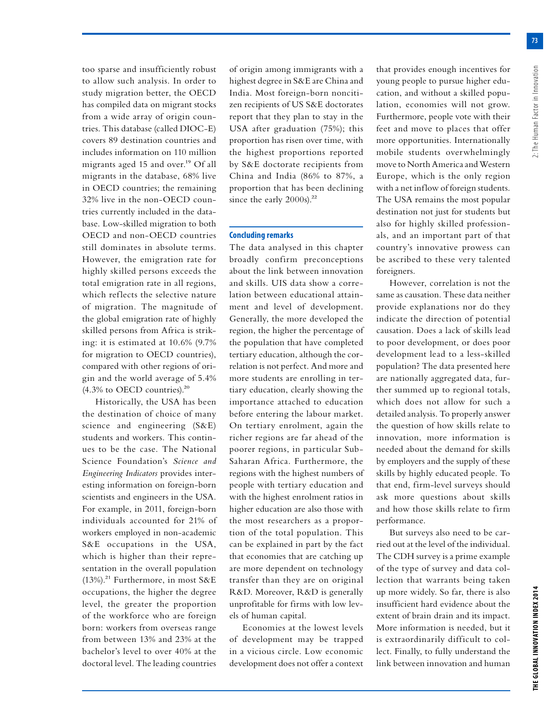**73**

too sparse and insufficiently robust to allow such analysis. In order to study migration better, the OECD has compiled data on migrant stocks from a wide array of origin countries. This database (called DIOC-E) covers 89 destination countries and includes information on 110 million migrants aged 15 and over.<sup>19</sup> Of all migrants in the database, 68% live in OECD countries; the remaining 32% live in the non-OECD countries currently included in the database. Low-skilled migration to both OECD and non-OECD countries still dominates in absolute terms. However, the emigration rate for highly skilled persons exceeds the total emigration rate in all regions, which reflects the selective nature of migration. The magnitude of the global emigration rate of highly skilled persons from Africa is striking: it is estimated at 10.6% (9.7% for migration to OECD countries), compared with other regions of origin and the world average of 5.4%  $(4.3\%$  to OECD countries).<sup>20</sup>

Historically, the USA has been the destination of choice of many science and engineering (S&E) students and workers. This continues to be the case. The National Science Foundation's *Science and Engineering Indicators* provides interesting information on foreign-born scientists and engineers in the USA. For example, in 2011, foreign-born individuals accounted for 21% of workers employed in non-academic S&E occupations in the USA, which is higher than their representation in the overall population  $(13%)$ .<sup>21</sup> Furthermore, in most S&E occupations, the higher the degree level, the greater the proportion of the workforce who are foreign born: workers from overseas range from between 13% and 23% at the bachelor's level to over 40% at the doctoral level. The leading countries

of origin among immigrants with a highest degree in S&E are China and India. Most foreign-born noncitizen recipients of US S&E doctorates report that they plan to stay in the USA after graduation (75%); this proportion has risen over time, with the highest proportions reported by S&E doctorate recipients from China and India (86% to 87%, a proportion that has been declining since the early 2000s).<sup>22</sup>

#### **Concluding remarks**

The data analysed in this chapter broadly confirm preconceptions about the link between innovation and skills. UIS data show a correlation between educational attainment and level of development. Generally, the more developed the region, the higher the percentage of the population that have completed tertiary education, although the correlation is not perfect. And more and more students are enrolling in tertiary education, clearly showing the importance attached to education before entering the labour market. On tertiary enrolment, again the richer regions are far ahead of the poorer regions, in particular Sub-Saharan Africa. Furthermore, the regions with the highest numbers of people with tertiary education and with the highest enrolment ratios in higher education are also those with the most researchers as a proportion of the total population. This can be explained in part by the fact that economies that are catching up are more dependent on technology transfer than they are on original R&D. Moreover, R&D is generally unprofitable for firms with low levels of human capital.

Economies at the lowest levels of development may be trapped in a vicious circle. Low economic development does not offer a context

that provides enough incentives for young people to pursue higher education, and without a skilled population, economies will not grow. Furthermore, people vote with their feet and move to places that offer more opportunities. Internationally mobile students overwhelmingly move to North America and Western Europe, which is the only region with a net inflow of foreign students. The USA remains the most popular destination not just for students but also for highly skilled professionals, and an important part of that country's innovative prowess can be ascribed to these very talented foreigners.

However, correlation is not the same as causation. These data neither provide explanations nor do they indicate the direction of potential causation. Does a lack of skills lead to poor development, or does poor development lead to a less-skilled population? The data presented here are nationally aggregated data, further summed up to regional totals, which does not allow for such a detailed analysis. To properly answer the question of how skills relate to innovation, more information is needed about the demand for skills by employers and the supply of these skills by highly educated people. To that end, firm-level surveys should ask more questions about skills and how those skills relate to firm performance.

But surveys also need to be carried out at the level of the individual. The CDH survey is a prime example of the type of survey and data collection that warrants being taken up more widely. So far, there is also insufficient hard evidence about the extent of brain drain and its impact. More information is needed, but it is extraordinarily difficult to collect. Finally, to fully understand the link between innovation and human